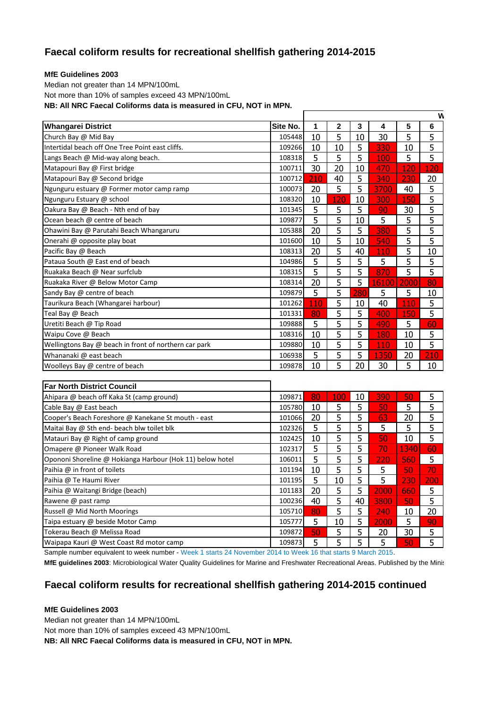## **Faecal coliform results for recreational shellfish gathering 2014-2015**

## **MfE Guidelines 2003**

Median not greater than 14 MPN/100mL Not more than 10% of samples exceed 43 MPN/100mL **NB: All NRC Faecal Coliforms data is measured in CFU, NOT in MPN.**

|                                                           |          |     |     |                |       |      | $\mathsf{w}$ |
|-----------------------------------------------------------|----------|-----|-----|----------------|-------|------|--------------|
| <b>Whangarei District</b>                                 | Site No. | 1   | 2   | 3              | 4     | 5    | 6            |
| Church Bay @ Mid Bay                                      | 105448   | 10  | 5   | 10             | 30    | 5    | 5            |
| Intertidal beach off One Tree Point east cliffs.          | 109266   | 10  | 10  | 5              | 330   | 10   | 5            |
| Langs Beach @ Mid-way along beach.                        | 108318   | 5   | 5   | 5              | 100   | 5    | 5            |
| Matapouri Bay @ First bridge                              | 100711   | 30  | 20  | 10             | 470   | 120  | 120          |
| Matapouri Bay @ Second bridge                             | 100712   | 210 | 40  | 5              | 340   | 230  | 20           |
| Ngunguru estuary @ Former motor camp ramp                 | 100073   | 20  | 5   | 5              | 3700  | 40   | 5            |
| Ngunguru Estuary @ school                                 | 108320   | 10  | 120 | 10             | 300   | 150  | 5            |
| Oakura Bay @ Beach - Nth end of bay                       | 101345   | 5   | 5   | 5              | 90    | 30   | 5            |
| Ocean beach @ centre of beach                             | 109877   | 5   | 5   | 10             | 5     | 5    | 5            |
| Ohawini Bay @ Parutahi Beach Whangaruru                   | 105388   | 20  | 5   | 5              | 380   | 5    | 5            |
| Onerahi @ opposite play boat                              | 101600   | 10  | 5   | 10             | 540   | 5    | 5            |
| Pacific Bay @ Beach                                       | 108313   | 20  | 5   | 40             | 110   | 5    | 10           |
| Pataua South @ East end of beach                          | 104986   | 5   | 5   | 5              | 5     | 5    | 5            |
| Ruakaka Beach @ Near surfclub                             | 108315   | 5   | 5   | 5              | 870   | 5    | 5            |
| Ruakaka River @ Below Motor Camp                          | 108314   | 20  | 5   | 5              | 16100 | 2000 | 80           |
| Sandy Bay @ centre of beach                               | 109879   | 5   | 5   | 280            | 5     | 5    | 10           |
| Taurikura Beach (Whangarei harbour)                       | 101262   | 110 | 5   | 10             | 40    | 110  | 5            |
| Teal Bay @ Beach                                          | 101331   | 80  | 5   | 5              | 400   | 150  | 5            |
| Uretiti Beach @ Tip Road                                  | 109888   | 5   | 5   | 5              | 490   | 5    | 60           |
| Waipu Cove @ Beach                                        | 108316   | 10  | 5   | 5              | 180   | 10   | 5            |
| Wellingtons Bay @ beach in front of northern car park     | 109880   | 10  | 5   | $\overline{5}$ | 110   | 10   | 5            |
| Whananaki @ east beach                                    | 106938   | 5   | 5   | $\overline{5}$ | 1350  | 20   | 210          |
| Woolleys Bay @ centre of beach                            | 109878   | 10  | 5   | 20             | 30    | 5    | 10           |
|                                                           |          |     |     |                |       |      |              |
| <b>Far North District Council</b>                         |          |     |     |                |       |      |              |
| Ahipara @ beach off Kaka St (camp ground)                 | 109871   | 80  | 100 | 10             | 390   | 50   | 5            |
| Cable Bay @ East beach                                    | 105780   | 10  | 5   | 5              | 50    | 5    | 5            |
| Cooper's Beach Foreshore @ Kanekane St mouth - east       | 101066   | 20  | 5   | $\overline{5}$ | 63    | 20   | 5            |
| Maitai Bay @ Sth end- beach blw toilet blk                | 102326   | 5   | 5   | $\overline{5}$ | 5     | 5    | 5            |
| Matauri Bay @ Right of camp ground                        | 102425   | 10  | 5   | 5              | 50    | 10   | 5            |
| Omapere @ Pioneer Walk Road                               | 102317   | 5   | 5   | 5              | 70    | 1340 | 60           |
| Opononi Shoreline @ Hokianga Harbour (Hok 11) below hotel | 106011   | 5   | 5   | 5              | 220   | 560  | 5            |
| Paihia @ in front of toilets                              | 101194   | 10  | 5   | 5              | 5     | 50   | 70           |
| Paihia @ Te Haumi River                                   | 101195   | 5   | 10  | 5              | 5     | 230  | 200          |
| Paihia @ Waitangi Bridge (beach)                          | 101183   | 20  | 5   | 5              | 2000  | 660  | 5            |

Rawene @ past ramp 100236 40 5 40 3800 50 5 5 40 3800 5 5 40 5 5 40 5 5 5 5 7 40 7 20 Russell @ Mid North Moorings 105710 80 5 5 240 10 20 Taipa estuary @ beside Motor Camp 105777 5 10 5 2000 5 90 Tokerau Beach @ Melissa Road 109872 50 5 5 20 30 5 Waipapa Kauri @ West Coast Rd motor camp 109873 5 5 5 5 50 5

Sample number equivalent to week number - Week 1 starts 24 November 2014 to Week 16 that starts 9 March 2015.

MfE guidelines 2003: Microbiological Water Quality Guidelines for Marine and Freshwater Recreational Areas. Published by the Minis

## **Faecal coliform results for recreational shellfish gathering 2014-2015 continued**

## **MfE Guidelines 2003**

Median not greater than 14 MPN/100mL

Not more than 10% of samples exceed 43 MPN/100mL

**NB: All NRC Faecal Coliforms data is measured in CFU, NOT in MPN.**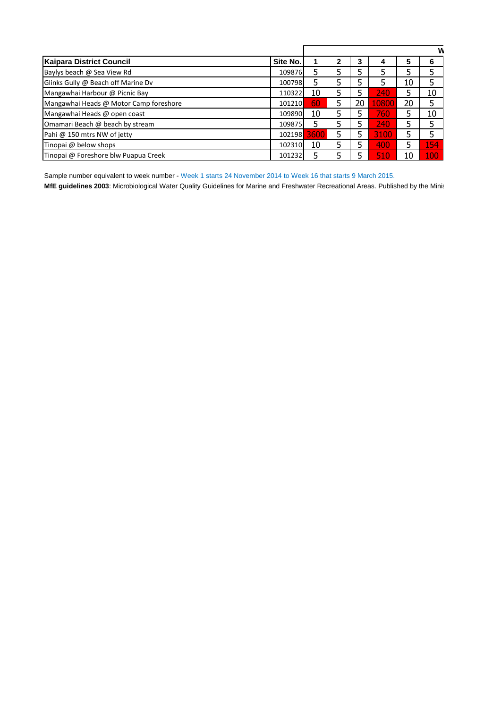| Kaipara District Council               | Site No. |      | າ | 3  |       | 5  | 6   |
|----------------------------------------|----------|------|---|----|-------|----|-----|
| Baylys beach @ Sea View Rd             | 109876   |      |   |    | 5     |    |     |
| Glinks Gully @ Beach off Marine Dv     | 100798   | 5    |   |    |       | 10 | 5   |
| Mangawhai Harbour @ Picnic Bay         | 110322   | 10   |   |    | 240   | 5  | 10  |
| Mangawhai Heads @ Motor Camp foreshore | 101210   | 60   |   | 20 | 10800 | 20 | 5   |
| Mangawhai Heads @ open coast           | 109890   | 10   |   |    | 760   | 5  | 10  |
| Omamari Beach @ beach by stream        | 109875   | 5    |   |    | 240   | 5  | 5   |
| Pahi @ 150 mtrs NW of jetty            | 102198   | 3600 | 5 |    | 3100  | 5  |     |
| Tinopai @ below shops                  | 102310   | 10   |   |    | 400   | 5  | 154 |
| Tinopai @ Foreshore blw Puapua Creek   | 101232   |      |   |    | 510   | 10 | 100 |

Sample number equivalent to week number - Week 1 starts 24 November 2014 to Week 16 that starts 9 March 2015. MfE guidelines 2003: Microbiological Water Quality Guidelines for Marine and Freshwater Recreational Areas. Published by the Minis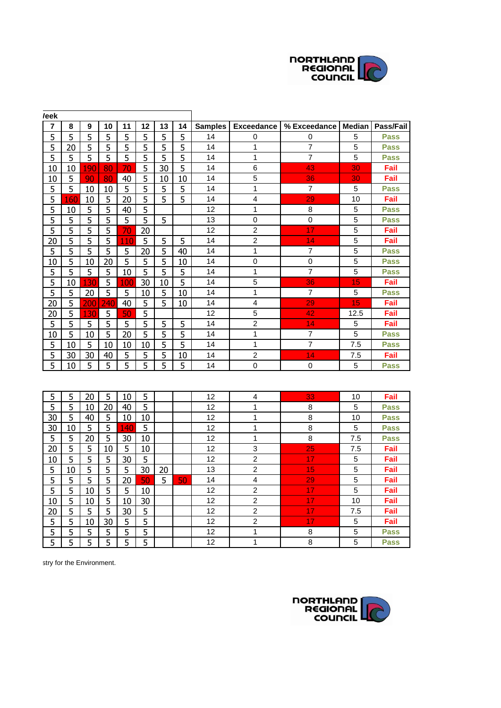

| <i>l</i> eek |     |     |     |     |    |    |    |                |                   |                         |        |             |
|--------------|-----|-----|-----|-----|----|----|----|----------------|-------------------|-------------------------|--------|-------------|
| 7            | 8   | 9   | 10  | 11  | 12 | 13 | 14 | <b>Samples</b> | <b>Exceedance</b> | % Exceedance            | Median | Pass/Fail   |
| 5            | 5   | 5   | 5   | 5   | 5  | 5  | 5  | 14             | 0                 | 0                       | 5      | <b>Pass</b> |
| 5            | 20  | 5   | 5   | 5   | 5  | 5  | 5  | 14             | 1                 | 7                       | 5      | <b>Pass</b> |
| 5            | 5   | 5   | 5   | 5   | 5  | 5  | 5  | 14             | 1                 | $\overline{7}$          | 5      | <b>Pass</b> |
| 10           | 10  | 190 | 80  | 70  | 5  | 30 | 5  | 14             | 6                 | 43                      | 30     | Fail        |
| 10           | 5   | 90  | 80  | 40  | 5  | 10 | 10 | 14             | 5                 | 36                      | 30     | Fail        |
| 5            | 5   | 10  | 10  | 5   | 5  | 5  | 5  | 14             | 1                 | 7                       | 5      | <b>Pass</b> |
| 5            | 160 | 10  | 5   | 20  | 5  | 5  | 5  | 14             | 4                 | 29                      | 10     | Fail        |
| 5            | 10  | 5   | 5   | 40  | 5  |    |    | 12             | $\mathbf 1$       | 8                       | 5      | <b>Pass</b> |
| 5            | 5   | 5   | 5   | 5   | 5  | 5  |    | 13             | $\mathbf 0$       | $\mathbf 0$             | 5      | Pass        |
| 5            | 5   | 5   | 5   | 70  | 20 |    |    | 12             | $\overline{c}$    | 17                      | 5      | Fail        |
| 20           | 5   | 5   | 5   | 110 | 5  | 5  | 5  | 14             | $\overline{c}$    | 14                      | 5      | Fail        |
| 5            | 5   | 5   | 5   | 5   | 20 | 5  | 40 | 14             | 1                 | 7                       | 5      | <b>Pass</b> |
| 10           | 5   | 10  | 20  | 5   | 5  | 5  | 10 | 14             | 0                 | $\mathsf 0$             | 5      | <b>Pass</b> |
| 5            | 5   | 5   | 5   | 10  | 5  | 5  | 5  | 14             | 1                 | $\overline{7}$          | 5      | <b>Pass</b> |
| 5            | 10  | 130 | 5   | 100 | 30 | 10 | 5  | 14             | 5                 | 36                      | 15     | Fail        |
| 5            | 5   | 20  | 5   | 5   | 10 | 5  | 10 | 14             | 1                 | 7                       | 5      | <b>Pass</b> |
| 20           | 5   | 200 | 240 | 40  | 5  | 5  | 10 | 14             | $\overline{4}$    | 29                      | 15     | Fail        |
| 20           | 5   | 130 | 5   | 50  | 5  |    |    | 12             | 5                 | 42                      | 12.5   | Fail        |
| 5            | 5   | 5   | 5   | 5   | 5  | 5  | 5  | 14             | $\overline{c}$    | 14                      | 5      | Fail        |
| 10           | 5   | 10  | 5   | 20  | 5  | 5  | 5  | 14             | 1                 | $\overline{\mathbf{7}}$ | 5      | <b>Pass</b> |
| 5            | 10  | 5   | 10  | 10  | 10 | 5  | 5  | 14             | 1                 | $\overline{7}$          | 7.5    | <b>Pass</b> |
| 5            | 30  | 30  | 40  | 5   | 5  | 5  | 10 | 14             | $\overline{2}$    | 14                      | 7.5    | Fail        |
| 5            | 10  | 5   | 5   | 5   | 5  | 5  | 5  | 14             | 0                 | 0                       | 5      | <b>Pass</b> |
|              |     |     |     |     |    |    |    |                |                   |                         |        |             |
| 5            | 5   | 20  | 5   | 10  | 5  |    |    | 12             | 4                 | 33                      | 10     | Fail        |
| 5            | 5   | 10  | 20  | 40  | 5  |    |    | 12             | 1                 | 8                       | 5      | <b>Pass</b> |
| 30           | 5   | 40  | 5   | 10  | 10 |    |    | 12             | 1                 | 8                       | 10     | <b>Pass</b> |
| 30           | 10  | 5   | 5   | 140 | 5  |    |    | 12             | 1                 | 8                       | 5      | <b>Pass</b> |
| 5            | 5   | 20  | 5   | 30  | 10 |    |    | 12             | 1                 | 8                       | 7.5    | <b>Pass</b> |
| 20           | 5   | 5   | 10  | 5   | 10 |    |    | 12             | 3                 | 25                      | 7.5    | Fail        |
| 10           | 5   | 5   | 5   | 30  | 5  |    |    | 12             | $\overline{2}$    | 17                      | 5      | Fail        |
| 5            | 10  | 5   | 5   | 5   | 30 | 20 |    | 13             | $\overline{c}$    | 15                      | 5      | Fail        |
| 5            | 5   | 5   | 5   | 20  | 50 | 5  | 50 | 14             | 4                 | 29                      | 5      | Fail        |
| 5            | 5   | 10  | 5   | 5   | 10 |    |    | 12             | $\overline{c}$    | 17                      | 5      | Fail        |
| 10           | 5   | 10  | 5   | 10  | 30 |    |    | 12             | $\overline{c}$    | 17                      | 10     | Fail        |
| 20           | 5   | 5   | 5   | 30  | 5  |    |    | 12             | $\overline{c}$    | 17                      | 7.5    | Fail        |
| 5            | 5   | 10  | 30  | 5   | 5  |    |    | 12             | $\overline{c}$    | 17                      | 5      | Fail        |
| 5            | 5   | 5   | 5   | 5   | 5  |    |    | 12             | 1                 | 8                       | 5      | <b>Pass</b> |
| 5            | 5   | 5   | 5   | 5   | 5  |    |    | 12             | 1                 | 8                       | 5      | <b>Pass</b> |

stry for the Environment.